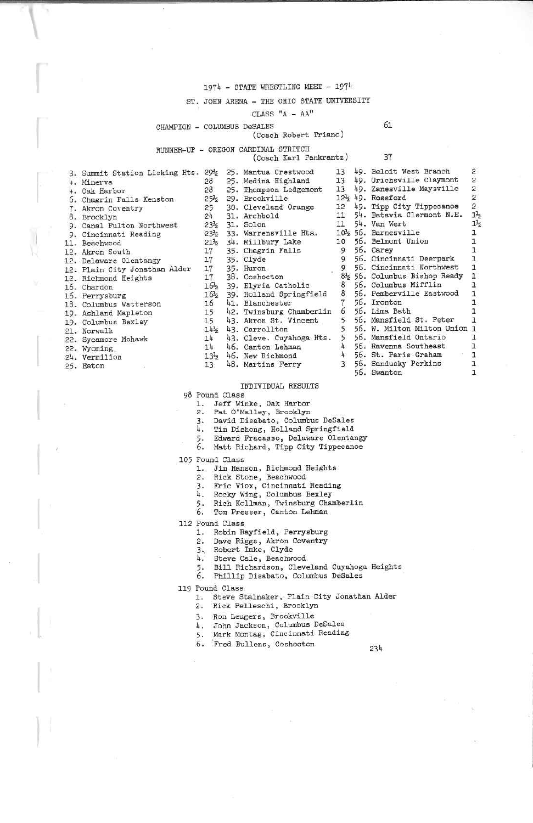### 1974 - STATE WRESTLING MEET - 1974

# ST. JOHN ARENA - THE OHIO STATE UNIVERSITY

CLASS  $"A - AA"$ 

### CHAMPION - COLUMBUS DeSALES

### (Coach Robert Triano)

# RUNNER-UP - OREGON CARDINAL STRITCH

(Coach Karl Pankrantz)

| ì |
|---|
|   |

61

| 3. Summit Station Licking Hts. 29% |                 | 25. Mantua Crestwood     | 13            | 49. Beloit West Branch        | 2              |
|------------------------------------|-----------------|--------------------------|---------------|-------------------------------|----------------|
| 4. Minerva                         | 28              | 25. Medina Highland      | 13            | 49. Urichsville Claymont      | $\mathbf{2}$   |
| 4. Oak Harbor                      | 28              | 25. Thompson Ledgemont   | 13            | 49. Zanesville Maysville      | 2              |
| 6. Chagrin Falls Kenston           | $25\frac{1}{2}$ | 29. Brookville           |               | 12% 49. Rossford              | $\frac{2}{2}$  |
| 7. Akron Coventry                  | 25              | 30. Cleveland Orange     |               | 12 49. Tipp City Tippecanoe   |                |
| 8. Brooklyn                        | 24              | 31. Archbold             | 11            | 54. Batavia Clermont N.E.     | $1\frac{1}{2}$ |
| 9. Canal Fulton Northwest          | $23\frac{1}{2}$ | 31. Solon                | 11            | 54. Van Wert                  | $1\frac{1}{2}$ |
| 9. Cincinnati Reading              | $23\frac{1}{2}$ | 33. Warrensville Hts.    |               | 10% 56. Barnesville           |                |
| 11. Beachwood                      | $21\frac{1}{2}$ | 34. Millbury Lake        |               | 10 56. Belmont Union          |                |
|                                    | 17              | 35. Chagrin Falls        | 9             | 56. Carey                     |                |
| 12. Akron South                    | 17              | 35. Clyde                | 9             | 56. Cincinnati Deerpark       |                |
| 12. Delaware Olentangy             |                 |                          |               | 56. Cincinnati Northwest      |                |
| 12. Plain City Jonathan Alder      | 17              | 35. Huron                |               |                               |                |
| 12. Richmond Heights               | 17              | 38. Coshocton            |               | 81% 56. Columbus Bishop Ready | $\mathbf{1}$   |
| 16. Chardon                        | 165             | 39. Elyria Catholic      | 8             | 56. Columbus Mifflin          |                |
| 16. Perrysburg                     | 16.5            | 39. Holland Springfield  | 8             | 56. Pemberville Eastwood      |                |
| 18. Columbus Watterson             | 16              | 41. Blanchester          |               | 56. Ironton                   |                |
| 19. Ashland Mapleton               | 15              | 42. Twinsburg Chamberlin | 6             | 56. Lima Bath                 |                |
| 19. Columbus Bexley                | 15              | 43. Akron St. Vincent    | 5             | 56. Mansfield St. Peter       |                |
| 21. Norwalk                        | 14 <sub>5</sub> | 43. Carrollton           |               | 56. W. Milton Milton Union 1  |                |
| 22. Sycamore Mohawk                | 14              | 43. Cleve. Cuyahoga Hts. | 5             | 56. Mansfield Ontario         |                |
|                                    | 14              | 46. Canton Lehman        |               | 56. Ravenna Southeast         |                |
| 22. Wyoming                        |                 | 46. New Richmond         |               | 56. St. Paris Graham          |                |
| 24. Vermilion                      | $13\frac{1}{2}$ |                          |               |                               |                |
| 25. Eaton                          | 13              | 48. Martins Ferry        | $\mathcal{R}$ | 56. Sandusky Perkins          |                |
|                                    |                 |                          |               | 56. Swanton                   |                |

### INDIVIDUAL RESULTS

98 Pound Class

- 1. Jeff Winke, Oak Harbor
- $2.$ Pat O'Malley, Brooklyn
- 3. David Disabato, Columbus DeSales
- 4. Tim Dishong, Holland Springfield
- 5. Edward Fracasso, Delaware Olentangy
- 6. Matt Richard, Tipp City Tippecanoe
- 105 Pound Class
	- 1. Jim Hanson, Richmond Heights
		-
		- 2. Rick Stone, Beachwood<br>3. Eric Viox, Cincinnati Reading
		- 4. Rocky Wing, Columbus Bexley
		- 4. Nocky wing, columnus Ecally<br>5. Rich Kollman, Twinsburg Chamberlin<br>6. Tom Presser, Canton Lehman
		-
- 112 Pound Class
	- 1. Robin Rayfield, Perrysburg
	- 2. Dave Riggs, Akron Coventry
	- $3 -$
	- Robert Imke, Clyde<br>Steve Cale, Beachwood 4.
	- 5. Bill Richardson, Cleveland Cuyahoga Heights
	- 6. Phillip Disabato, Columbus DeSales
- 119 Pound Class
	- 1. Steve Stalnaker, Plain City Jonathan Alder
		- 2. Rick Pelleschi, Brooklyn
		- 3. Ron Leugers, Brookville
		- 4. John Jackson, Columbus DeSales
		- 5. Mark Montag, Cincinnati Reading
	- 6. Fred Bullens, Coshocton
		-

234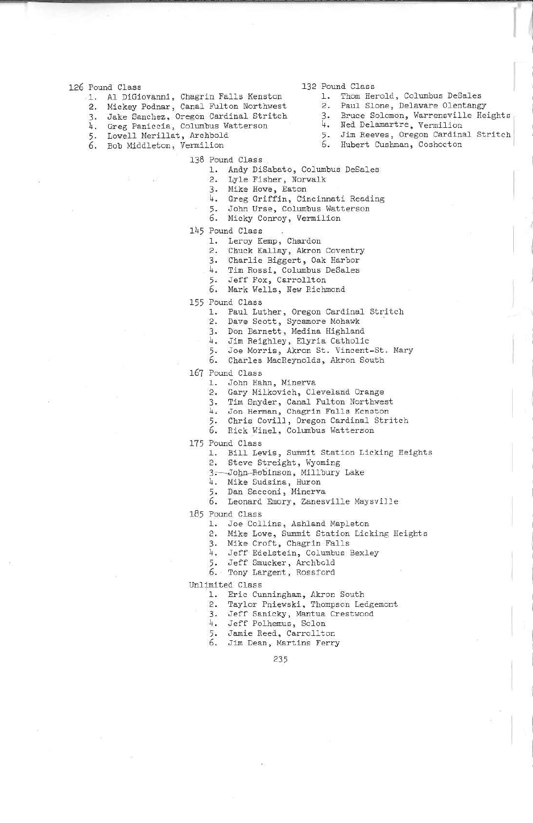- 126 Pound Class
	- 1. Al DiGiovanni, Chagrin Falls Kenston
	- 2. Mickey Podnar, Canal Fulton Northwest
	- 3. Jake Sanchez, Oregon Cardinal Stritch
	- 4. Greg Paniccia, Columbus Watterson
	- 5. Lowell Merillat, Archbold
	- 6. Bob Middleton, Vermilion
- 132 Pound Class
	- 1. Thom Herold, Columbus DeSales
	- 2. Paul Slone, Delaware Olentangy
	- 3. Bruce Solomon, Warrensville Heights<br>4. Ned Delamartre, Vermilion
	-
	- 5. Jim Reeves, Oregon Cardinal Stritch
	- 6. Hubert Cushman, Coshocton
- 138 Pound Class
	- 1. Andy DiSabato, Columbus DeSales
	- 2. Lyle Fisher, Norwalk
	- 3. Mike Howe, Eaton
	- 4. Greg Griffin, Cincinnati Reading
	- John Urse, Columbus Watterson 5.
	- 6. Micky Conroy, Vermilion
- 145 Pound Class
	- 1. Leroy Kemp, Chardon
	- 2. Chuck Kallay, Akron Coventry
	- 3. Charlie Biggert, Oak Harbor
	- 4. Tim Rossi, Columbus DeSales
	- 5. Jeff Fox, Carrollton
	- 6. Mark Wells, New Richmond
- 155 Pound Class
	- 1. Paul Luther, Oregon Cardinal Stritch
	- 2. Dave Scott, Sycamore Mohawk
	- 3. Don Barnett, Medina Highland
	- 4. Jim Reighley, Elyria Catholic
	- 5. Joe Morris, Akron St. Vincent-St. Mary
	- 6. Charles MacReynolds, Akron South
- 167 Pound Class
	- 1. John Hahn, Minerva
	- $2.$ Gary Milkovich, Cleveland Orange
	- 3. Tim Snyder, Canal Fulton Northwest
	- 4.
	- Jon Herman, Chagrin Falls Kenston<br>Chris Covill, Oregon Cardinal Stritch 5.
	- 6. Rick Winel, Columbus Watterson
- 175 Pound Class
	- 1. Bill Lewis, Summit Station Licking Heights
	- 2. Steve Streight, Wyoming
	- 3.-John-Robinson, Millbury Lake
	- 4. Mike Sudsina, Huron
	- 5. Dan Sacconi, Minerva
	- 6. Leonard Emory, Zanesville Maysville

185 Pound Class

- 1. Joe Collins, Ashland Mapleton
- 2. Mike Lowe, Summit Station Licking Heights
- 3. Mike Croft, Chagrin Falls
- 4. Jeff Edelstein, Columbus Bexley
- 5. Jeff Smucker, Archbold
- 6. Tony Largent, Rossford

Unlimited Class

- 1. Eric Cunningham, Akron South
- $2.$ Taylor Pniewski, Thompson Ledgemont
- Jeff Sanicky, Mantua Crestwood  $3.$
- 4. Jeff Polhemus, Solon
- 5. Jamie Reed, Carrollton
- 6. Jim Dean, Martins Ferry

235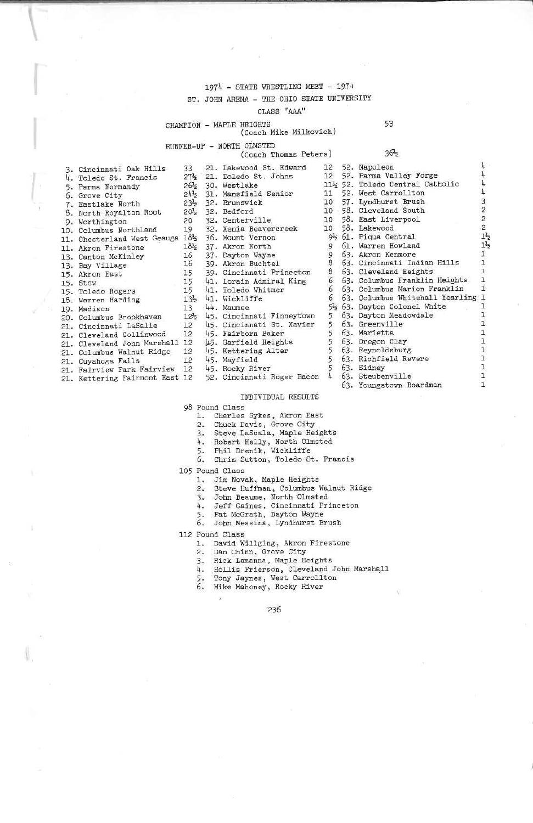# 1974 - STATE WRESTLING MEET - 1974

# ST. JOHN ARENA - THE OHIO STATE UNIVERSITY

### CLASS "AAA"

### CHAMPION - MAPLE HEIGHTS

### (Coach Mike Milkovich)

Toledo St. Johns

Xenia Beavercreek Mount Vernon

### RUNNER-UP - NORTH OLMSTED

Westlake Mansfield Senior

Akron North Dayton Wayne

Akron Buchtel

Toledo Whitmer

Fairborn Baker

Garfield Heights

Kettering Alter

(Coach Thomas Peters)

|                                                   |  | (Coach !                          |
|---------------------------------------------------|--|-----------------------------------|
| 3. Cincinnati Oak Hills                           |  | 33 21. Lakewood St                |
| 4. Toledo St. Francis                             |  | 27% 21. Toledo St. .              |
| 5. Parma Normandy                                 |  | 26 <sup>5</sup> 30. Westlake      |
| 6. Grove City                                     |  | 24% 31. Mansfield So              |
| 7. Eastlake North                                 |  | 235 32. Brunswick                 |
| 8. North Royalton Root                            |  | 20 <sup>1</sup> 2 32. Bedford     |
| 9. Worthington                                    |  | 20 32. Centerville                |
| 10. Columbus Northland                            |  | 19 32. Xenia Beaver               |
| 11. Chesterland West Geauga 1812 36. Mount Vernor |  |                                   |
| 11. Akron Firestone                               |  | 18 <sup>3</sup> 2 37. Akron North |
| 13. Canton McKinley                               |  | 16 37. Dayton Wayne               |
| 13. Bay Village                                   |  | 16 39. Akron Buchte               |
| 15. Akron East                                    |  | 15 39. Cincinnati l               |
| 15. Stow                                          |  | 15 41. Lorain Admi:               |
| 15. Toledo Rogers                                 |  | 15 41. Toledo Whitz               |
| 18. Warren Harding                                |  | 132 41. Wickliffe                 |
| 19. Madison                                       |  | $13 - 44$ . Maumee                |
| 20. Columbus Brookhaven 122 45. Cincinnati I      |  |                                   |
| 21. Cincinnati LaSalle                            |  | 12 45. Cincinnati                 |
| 21. Cleveland Collinwood 12 45. Fairborn Bal      |  |                                   |
| 21. Cleveland John Marshall 12 15. Garfield He:   |  |                                   |
| 21. Columbus Walnut Ridge                         |  | 12 45. Kettering Al               |
| 21. Cuyahoga Falls                                |  | 12 45. Mayfield                   |
| 21. Fairview Park Fairview                        |  | 12 45. Rocky River                |

21. Kettering Fairmont East 12

Lakewood St. Edward 12 52. Napoleon  $12$ 52. Parma Valley Forge 11½ 52. Toledo Central Catholic 11 52. West Carrollton<br>10 57. Lyndhurst Brush 10 - 58. Cleveland South 10 58. East Liverpool<br>10 58. Lakewood 92 61. Piqua Central 9 61. Warren Howland 9 63. Akron Kenmore 8 63. Cincinnati Indian Hills Cincinnati Princeton 8 63. Cleveland Heights Lorain Admiral King 6 63. Columbus Franklin Heights 63. Columbus Marion Franklin 6 63. Columbus Whitehall Yearling 1 6 5½ 63. Dayton Colonel White Cincinnati Finneyt'own 5 63. Dayton Meadowdale 5 63. Greenville Cincinnati St. Xavier  $\overline{5}$ 63. Marietta 63. Oregon Clay  $\frac{1}{5}$ 5 63. Reynoldsburg 5 63. Richfield Revere 5 63. Sidney

- 52. Cincinnati Roger Bacon 4 63. Steubenville
	- 63. Youngstown Boardman

# INDIVIDUAL RESULTS

98 Pound Class

- 1. Charles Sykes, Akron East  $2.$ 
	- Chuck Davis, Grove City
- Steve LaScala, Maple Heights  $3.$
- 
- 
- %, Nobert Kelly, North Olmsted<br>5. Phil Drenik, Wickliffe<br>6. Chris Sutton, Toledo St. Francis
- 105 Pound Class
	- 1. Jim Novak, Maple Heights
	- $\mathcal{P}_{\mathcal{P}}$ Steve Huffman, Columbus Walnut Ridge
	- 3. John Beaume, North Olmsted
	- 4. Jeff Gaines, Cincinnati Princeton<br>5. Pat McGrath, Dayton Wayne
	-
	- 6. John Messina, Lyndhurst Brush
	-

112 Pound Class

- 1. David Willging, Akron Firestone
- 2. Dan Chinn, Grove City
- Rick Lamanna, Maple Heights  $\mathcal{F}$ .
- Hollis Frierson, Cleveland John Marshall 4.
- Tony Jaynes, West Carrollton 5.
- 6. Mike Mahoney, Rocky River

### 53

 $36\frac{1}{2}$ 

 $\overline{h}$ 

4

 $\frac{1}{2}$ 

 $\frac{1}{2}$  $\overline{3}$ 

 $\overline{c}$ 

 $\overline{a}$ 

 $\overline{c}$ 

 $1\frac{1}{2}$ 

 $1\frac{1}{2}$ 

 $\mathbf{1}$ 

 $\mathbf{I}$ 

 $\mathbf{I}$ 

 $\mathbf{1}$ 

 $\mathbf{1}$ 

 $\mathbf{1}$ 

 $\mathbf{1}$ 

 $\mathbf{I}$ 

 $\mathbf{1}$ 

 $\mathbf{1}$ 

ı

T.

 $\mathbf{1}$  $\mathbf{1}$